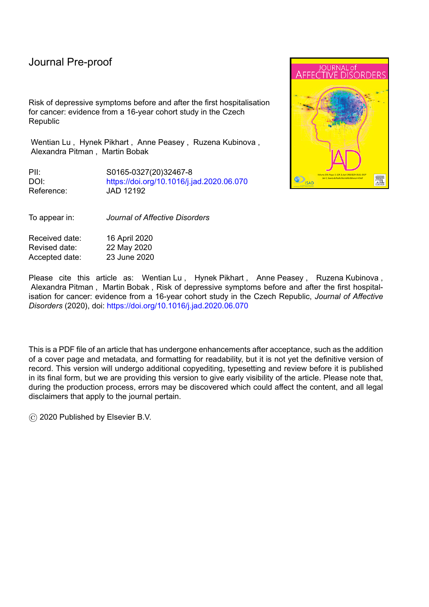Risk of depressive symptoms before and after the first hospitalisation for cancer: evidence from a 16-year cohort study in the Czech Republic

Wentian Lu , Hynek Pikhart , Anne Peasey , Ruzena Kubinova , Alexandra Pitman , Martin Bobak

PII: S0165-0327(20)32467-8 DOI: <https://doi.org/10.1016/j.jad.2020.06.070> Reference: JAD 12192

To appear in: *Journal of Affective Disorders*

Received date: 16 April 2020 Revised date: 22 May 2020 Accepted date: 23 June 2020

Please cite this article as: Wentian Lu, Hynek Pikhart, Anne Peasey, Ruzena Kubinova, Alexandra Pitman , Martin Bobak , Risk of depressive symptoms before and after the first hospitalisation for cancer: evidence from a 16-year cohort study in the Czech Republic, *Journal of Affective Disorders* (2020), doi: <https://doi.org/10.1016/j.jad.2020.06.070>

This is a PDF file of an article that has undergone enhancements after acceptance, such as the addition of a cover page and metadata, and formatting for readability, but it is not yet the definitive version of record. This version will undergo additional copyediting, typesetting and review before it is published in its final form, but we are providing this version to give early visibility of the article. Please note that, during the production process, errors may be discovered which could affect the content, and all legal disclaimers that apply to the journal pertain.

© 2020 Published by Elsevier B.V.

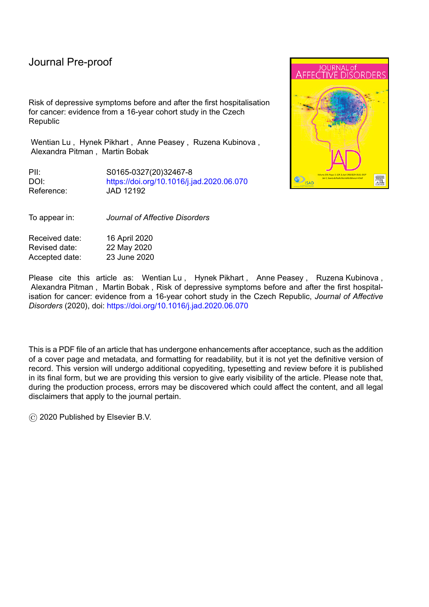# **Highlights**

- The risk of depressive symptoms starts increasing five years prior to the first hospitalisation for cancer.
- This may be due to pre-diagnosis neuropsychiatric or biopsychosocial processes.
- This excess risk continued for up to 7.5 years after hospitalisation.
- Cancer is an independent risk factor for depressive symptoms.

l

Early psychological assessment for patients diagnosed with cancer is needed.

Journal Prejous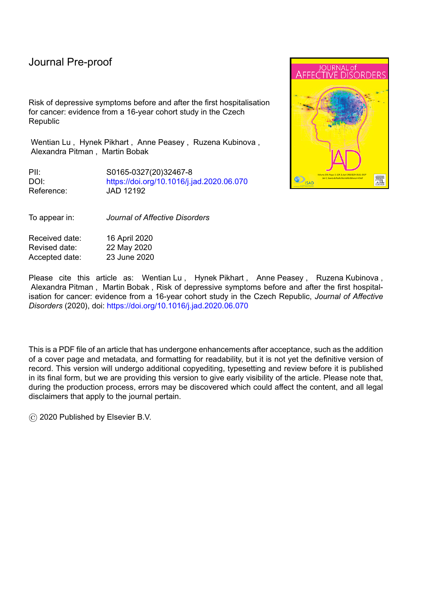Research paper

**Risk of depressive symptoms before and after the first hospitalisation for cancer: evidence from a 16-year cohort study in the Czech Republic**

Wentian Lu<sup>1\*</sup>, Hynek Pikhart<sup>1</sup>, Anne Peasey<sup>1</sup>, Ruzena Kubinova<sup>2</sup>, Alexandra Pitman<sup>3,4</sup>, Martin Bobak<sup>1</sup>

<sup>1</sup>Research Department of Epidemiology and Public Health, University College London, London, United Kingdom.

<sup>2</sup>Centre for Environmental Health Monitoring, National Institute of Public Health, Prague, Czech Republic

<sup>3</sup>UCL Division of Psychiatry, University College London, London, United Kingdom

4 Camden and Islington NHS Foundation Trust, London, United Kingdom

l

\* Corresponding author. Central and Eastern European Health Research Group, Research Department of Epidemiology and Public Health, University College London, 1-19 Torrington Place, London, WC1E 7HB, United Kingdom. Email: wentian.lu.14@ucl.ac.uk

# **Abstract**

**Background** Whether depression risk starts increasing before cancer diagnosis, and whether cancer is an independent risk factor for depression, remain unclear. We aimed to quantify the risk of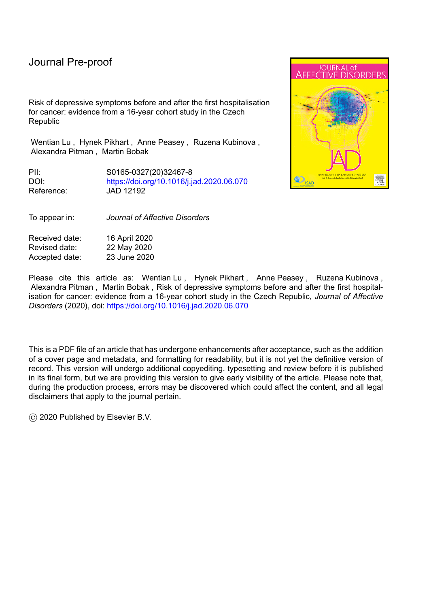depressive symptoms before and after the first hospitalisation for cancer (as a proxy for cancer diagnosis) among patients with cancer.

l

**Methods** We linked cohort data with national hospitalisation records in the Czech Republic. We followed 1056 incident cancer cases for up to 15 years before and 15 years after the first hospitalisation for cancer. Depressive symptoms were measured using the Centre for Epidemiological Studies-Depression (CES-D) scale. We used multilevel ordered logistic regression to assess the relationship between follow-up years (pre- and post-hospitalisation) and depressive symptoms among incident cancer cases. Propensity Score Matching was employed to match each case with a cancer-free control, to test the independent effect of cancer on depressive symptoms over time.

**Results** Per one year of follow-up (whether pre- or post- hospitalisation) was associated with 1.07 (1.05–1.10) times more likely to have high severity of depressive symptoms among patients with cancer. The probability of having high severity of depressive symptoms increased from 25% at five years before hospitalisation to 33% at 7.5 years after hospitalisation. In parallel analyses among matched cancer-free controls, the risk of depressive symptoms had no significant changes during follow-up.

**Limitations** Stratified analyses based on cancer types and stages of malignancy were infeasible.

**Conclusions** The excess risk of depressive symptoms was apparent five years prior to the first hospitalisation for cancer. Using cancer-free matched controls, we confirmed that cancer was an independent predictor of depressive symptoms.

**Key words**: Cancer, depression, hospitalisation, Czech Republic

# **Introduction**

There is evidence that the prevalence of mental disorders among patients with cancer is higher than that among the general population, and that survival rates among patients with cancer and comorbid anxiety or depression are significantly lower than those for the general population (Batty et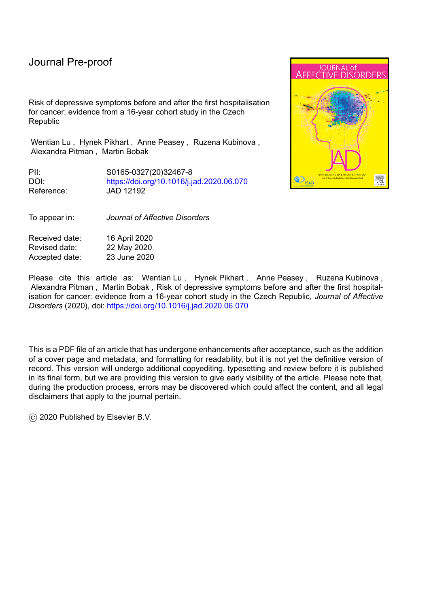l

al., 2017; Kisely et al., 2013; Pitman et al., 2018; Zhu et al., 2017). Clinically, depression in patients with cancer tends to be under-recognised, with depressive symptoms such as anorexia, weight loss, fatigue and insomnia often attributed to the somatic effects of cancer rather than depression (Lloyd-Williams, 2000). The World Health Organization (WHO) suggests that the risk of mental disorders in patients with cancers is routinely overlooked and should be better understood (World Health Organization, 2017).

Previous work has shown an excess risk of mental disorders (Dalton et al., 2009; Lu et al., 2016; Mallet et al., 2018; Suppli et al., 2014), and of suicide (Henson et al., 2018), after cancer diagnosis, with risks more marked in cancers with poor prognosis. For example, a population-based study in England indicated that patients with mesothelioma had the highest suicide risk among all patients after cancer diagnosis (Henson et al., 2018). A Danish registry-based study found a general pattern of an increased risk of depression in the first year after cancer diagnosis, with decreasing but still significant excess risk in subsequent years for most types of cancer (Dalton et al., 2009). A recent study reported that the risk of mental disorders after cancer diagnosis in the US was significantly higher among patients with a prior history of mental disorders compared with those without psychiatric histories (Mallet et al., 2018). A Swedish registry-based study suggested that risk of mental disorders both before and after cancer diagnosis increased to a greater extent among patients with cancers of poor prognosis (i.e. lung and colorectal cancers) compared with patients with other cancers (i.e. breast cancer) (Lu et al., 2016). Generally risk of depression and anxiety applies at all points in the cancer trajectory, whether in curative or palliative treatment (Burgess et al., 2005; Fallowfield et al., 1990; Mitchell et al., 2011).

The onset of depression in relation to cancer diagnosis requires careful study, as it provides clues as to the aetiology of depression in the cancer context, including the putative effect of cancer-related inflammation on mental disorders (Messay et al., 2012). Previous work has shown that the excess risk of depression is apparent in the year before cancer diagnosis, corresponding with the period of cancer diagnostic workup (Lu et al., 2016). This suggests that direct neuropsychiatric effects may be involved even before an awareness of cancer diagnosis, at which point predominant explanations for depression or anxiety involve biopsychosocial processes (Pitman et al., 2018). The majority of work describing the association between cancer and depression derives from high-income countries, including the United States (US), England, Denmark, Australia and Sweden (Batty et al., 2017;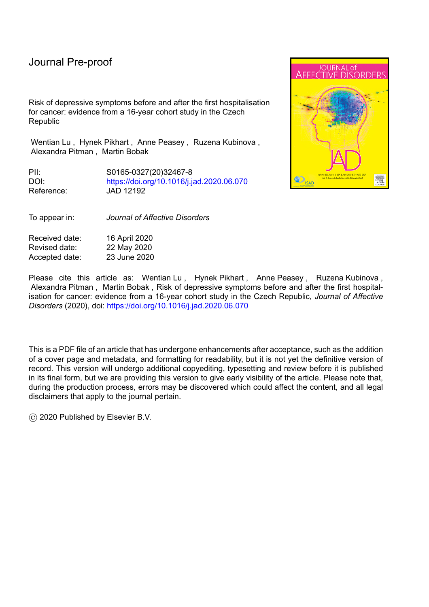Burgess et al., 2005; Dalton et al., 2009; Fallowfield et al., 1990; Henson et al., 2018; Kisely et al., 2013; Lu et al., 2016; Suppli et al., 2014; Zhu et al., 2017). However, the generalisability of these findings to more recent years or among other populations is questionable.

l

To address the research gap, our 16-year longitudinal study aimed to assess the risk of depressive symptoms before and after the first hospitalisation for cancer (as a proxy for cancer diagnosis) in the Czech Republic. We investigated whether and when depressive symptoms occur before the first hospitalisation for cancer. We also used matched controls to evaluate the independent effect of cancer on depressive symptoms.

#### **Methods**

#### *Data*

Data were from the Health, Alcohol and Psychosocial factors In Eastern Europe (HAPIEE) study – Czech cohort, a prospective cohort study of a representative sample of 8857 individuals (response rate: 82%) aged 45–69 years at baseline in the Czech Republic (Peasey et al., 2006). Random samples stratified by gender and five-year age groups were selected from population registers. Written informed consent was obtained from all participants. The study received ethical approval from the ethics committee at University College London, UK (99/0081). We used data from baseline wave (2002–2005), wave 2 (2006–2008) and follow-up postal surveys in 2009, 2012, 2013, 2016 and 2017. The information on cancer diagnosis was obtained from the national hospitalisation records (2001– 2017) of all participants, which contain information on, for example, dates of admission and discharge, ICD codes of primary, operation and other diagnosis, and whether being hospitalised for the first time for each diagnosis. We included 1056 (473 women) incident cancer cases (2003–2017) (Supplementary Figure S1), who were matched with population-based controls (matching ratio: 1:1) using Propensity Score Matching (PSM) (Rosenbaum and Rubin, 1983). Figure 1 illustrates the detailed procedure of sample selection.

# *Variables*

# *Depressive symptoms*

Depressive symptoms were measured using the Centre for Epidemiological Studies-Depression (CES-D) scale (Radloff, 1977), and used as a time-varying outcome. The format of the CES-D scale used at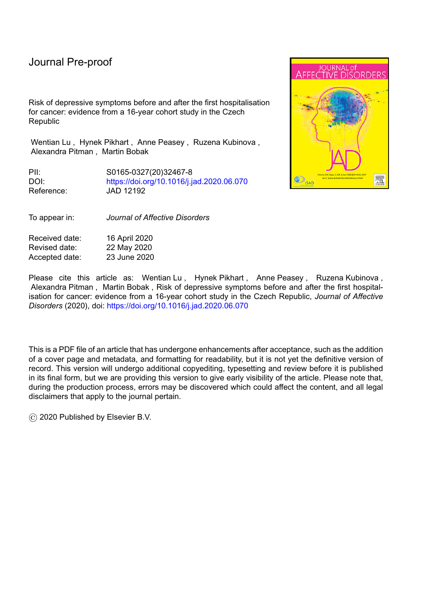l

baseline (CES-D-20; original 20-item measure, 4-category response) differed at Wave 2 (2006–2008), the 2009 postal surveys (CES-D-10; 10-item measure, Boston scale; 2-category response), and the 2012–2017 postal surveys (CES-D-10; 10-item measure, Andresen scale; 4-category response) (Kohout et al., 1993; Mohebbi et al., 2018). Cronbach's alpha values were all above 0.70, indicating acceptable reliability (Heale and Twycross, 2015). To maintain the integrity of the scale, up to four, one and one missing items, respectively, were allowed for calculating the sum scores based on original, Boston and Andresen scales. We substituted the mean values for missing items then summed all items (Kohout et al., 1993). For comparability of results over time, we organised sum scores into tertiles based on the entire sample size. High severity of depressive symptoms was defined as the highest tertile of CES-D scores.

#### *Incident cancer cases*

We identified incident cancer cases in cancer-free individuals at baseline, measured as the first ever hospitalisation for any cancer (ICD-10: C00–C97) recorded on the national hospitalisation register during follow-up (as a proxy for cancer diagnosis), on a date later than the dates of baseline interview. Supplementary Figure S1 and Figure S2 illustrate the numbers of incident cancer cases (2003–2017), and the numbers of each type of cancer, respectively.

#### *Follow-up years*

We calculated each participant's number of years of follow-up using the date of depressive symptom measurement in each wave of data collection minus the date of the first hospitalisation for any cancer. The date of the first cancer hospitalisation (a proxy for diagnostic year) was set at zero. Negative and positive values designated pre-hospitalised (-15.0 to -0.1) and post-hospitalised (0.1 to 15.0) years. Supplementary Figure S3 shows a normal distribution of follow-up years.

## *Confounders*

We selected confounders based on previous evidence (Batty et al., 2017; Bortolato et al., 2017; Burgess et al., 2005; World Health Organization, 2017): baseline gender; age; marital status; education; smoking; alcohol use; fruit consumption; vegetable consumption; weekly hours of physical activity; diagnosed cardiovascular disease (CVD), diabetes and chronic respiratory diseases; and Body Mass Index.

6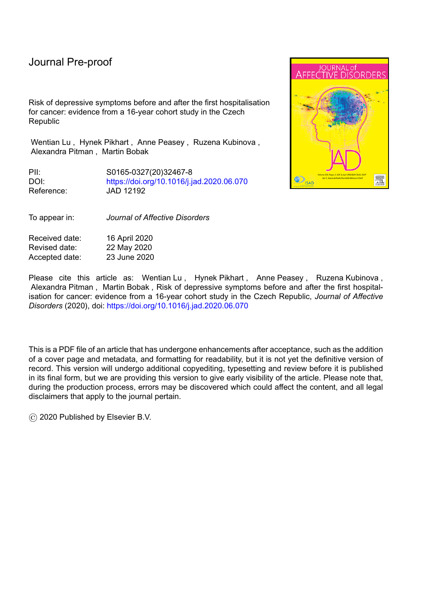l

# *Statistical methods*

We conducted univariate analysis of baseline relationships between confounders and depressive symptoms. We used multilevel ordered logistic regression to assess the longitudinal relationship between follow-up years and depressive symptoms among incident cancer cases, allowing for random intercepts. Multilevel modelling can handle attrition and wave non-response (which allows us to include incident cancer cases who died during the post-diagnostic period), unequal time spaces, and the inclusion of time-varying and between-individual covariates that are either continuous or discrete measures (Curran et al., 2010).

A time-cohort model (repeat follow-up year model controlling for baseline age group) was estimated with full adjustment. We included year as a linear, quadratic, and a cubic term, to detect non-linear effects. We predicted the overall average probability of being in the highest tertile of CES-D scores in each year, considering both fixed and random effects based on this model. We fitted curves using kernel-weighted local polynomial smoothing to explore non-linear effects of follow-up years, allowing the data to "speak for themselves" by fitting the response to a polynomial form of the regressor via locally weighted least squares (Gasser and Müller, 1979). We produced curves within a thirty-year range (15 pre-hospitalised years and 15 post-hospitalised years).

To test the independent effect of cancer on depressive symptoms over time, we used PSM to match each incident cancer case with a cancer-free participant based on similar propensity scores obtained from a logistic regression model adjusting for all aforementioned confounders (Rosenbaum and Rubin, 1983). The nearest neighbour matching was used (calliper bound=0.04, mean bias=1.8%) (Rubin, 1973). As a result, the observed baseline characteristics became very similar between incident cancer cases and those of cancer-free controls (Supplementary Table S1). In order to compare risk of depressive symptoms before and after a hypothetical non-cancer diagnosis date in cancer-free controls, each control was allocated a non-exposure data, which was the date of the first cancer hospitalisation of his or her matched treated participant. We assessed the unadjusted relationships between follow-up years and depressive symptoms in both groups. We also predicted the overall probabilities of being in the highest tertile of CES-D scores after year=0 in both groups.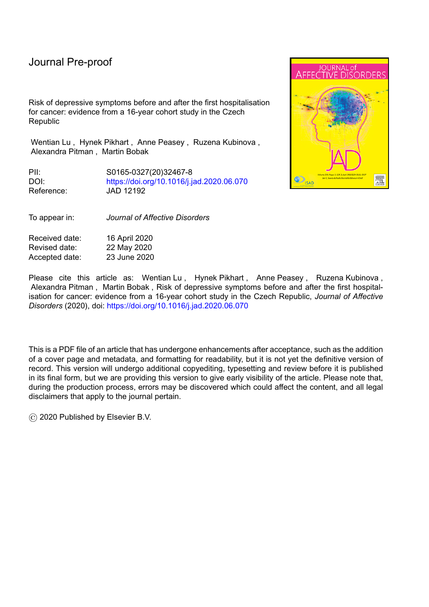l

We conducted a *post hoc* analysis to confirm whether the risk of depressive symptoms did indeed increase in the five years prior to the first cancer hospitalisation. For this, we applied fully-adjusted piecewise regression with three segments separated by two "knots" (at year -5 and 0) (Ryan and Porth, 2007), to quantify the slope changes of the probability of being in the highest tertile of CES-D scores. Three independent variables were included in piecewise regression, reflecting three segments: '6–15 years before hospitalisation' '1–4 years before hospitalisation' and '1–15 years after hospitalisation'.

# *Sensitivity analyses*

We compared baseline characteristics between the analysed (N=1056) and excluded incident cancer cases (N=181), to explore whether missing data were likely to bias findings. We also employed another harmonisation strategy – converting the CES-D sum scores into z-scores (mean [S.D.] =0 [1]) and re-run the fully-adjusted model using the continuous z-scores, which helps predict the overall changes of depressive symptoms over time, and make further comparison with other samples.

All analyses were performed using Stata SE 15 (StataCorp, 2017), with a p-value threshold of <0.05 for statistical significance.

# **Results**

# *Baseline sample characteristics*

Table 1 presents baseline sample characteristics among incident cancer cases. Over half (55%) this sample were men. Participants were mainly aged between 50 and 69 years, married or cohabiting, and had vocational or secondary education at baseline. Around 30% of participants were current smokers. Around 15% of participants consumed alcohol more than 5 times per week. Participants consumed a mean of 3.48 (S.D. = 3.52) and 3.13 (S.D. = 2.25) portions of fruit and vegetable per day, respectively. The mean hours spent on physical activity per week were 13.49, but with wide variation (S.D. = 12.50). The majority of the participants were diagnosed with diabetes, CVD, or chronic respiratory diseases, and 45% and 34% were pre-obese and obese, respectively.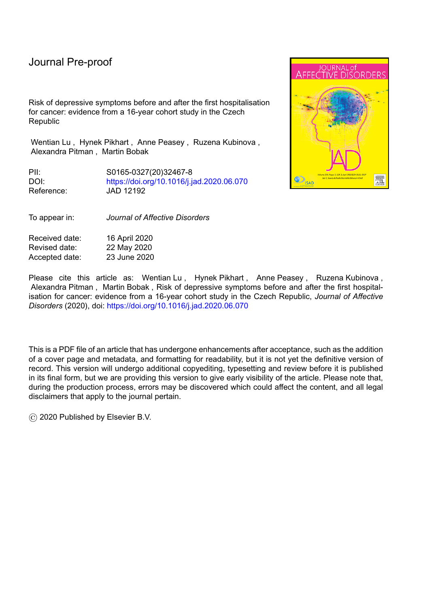Our sample contained more than twenty types of cancer. The sample sizes of different types of cancer were diverse (Supplementary Figure S2). For example, there were 102, 118 and 141 incident cases of lung (C33, C34), breast (C50) and prostate (C61) cancers, respectively; whereas there were only 3, 23, 18 incident cases of oesophagus (C15), stomach (C16) and brain cancers, respectively.

Supplementary Table S2 shows the univariate relationships between confounders and depressive symptoms among incident cancer cases. Participants who were female, unmarried, diagnosed with cardiovascular or chronic respiratory diseases, or had vocational or primary education or below, were more likely to have depressive symptoms at baseline than those who were male, married, diagnosed without cardiovascular or chronic respiratory diseases, or who had a university degree. However, compared with non-alcohol consumers, alcohol consumers were less likely to have depressive symptoms at baseline.

# *Association between follow-up years and depressive symptoms*

l

Table 2 shows the results of our fully-adjusted model describing the association between follow-up years and depressive symptoms among incident cancer cases. After controlling for covariates, years of follow-up were positively associated with severity of depressive symptoms. For each year of observation, patients with cancer were 1.07 (95%CI: 1.05–1.10) times more likely to be in the highest tertile of CES-D scores (whether pre- or post-diagnosis). We also found significant quadratic and cubic effects of year, suggesting a non-linear effect of year on depressive symptoms.

Figure 2 illustrates the predicted probability of being in the highest tertile of CES-D scores during follow-up among incident cancer cases, with year=0 as a proxy for cancer diagnosis. Overall, although the change in probability between two subsequent years was small, the cubic shape of the curve was statistically significant (Table 2, 0.9997, 95%CI: 0.9994–0.9999). The probability was around 25% at five years before hospitalisation, and increased to around 32% at five years after hospitalisation. Thereafter, the probability continued increasing at a slower rate until its highest point (around 33%) at 7.5 years after hospitalisation. The predicted values prior to 10 years prehospitalisation or after 10 years post-hospitalisation were dispersed, due to the small sample size for those followed-up for more than 10 years before or after hospitalisation (Supplementary Figure S3).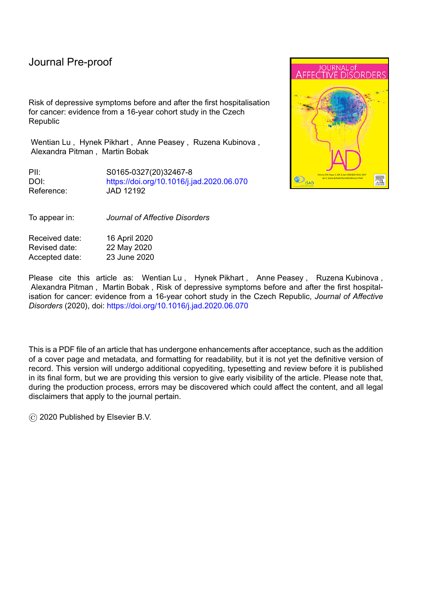Table 4 Changes of the probability of being in the highest tertile of OESS ores at 615 and 1t4 years before hospitalisations, and 1t15 years after hospitalisation

l

| <b>Probabilities</b>                                                                                               | Slope (change)<br>per year) | $95\%$ CIs         | <b>P</b> -<br>values |
|--------------------------------------------------------------------------------------------------------------------|-----------------------------|--------------------|----------------------|
| 6 45 years before hospitalisation                                                                                  | $-0.06$                     | $(-0.10 \pm 0.02)$ | 0.007                |
| 1 <b>4</b> years before hospitalisation                                                                            | 0.11                        | $(0.07 \pm 0.15)$  | < 0.001              |
| Change (between 6 $\pm$ 5 years and 1 $\pm$ years<br>before hospitalisation)                                       | 0.12                        | $(0.07 \pm 0.18)$  | < 0.001              |
| 1 ± 1 years after hospitalisation                                                                                  | 0.07                        | $(0.01 \pm 0.13)$  | 0.024                |
| Change (between $1 \nightharpoonup$ years before<br>hospitalisation and $1\,\pm 5$ years after<br>hospitalisation) | $-0.05$                     | $(-0.12 \pm 0.03)$ | 0.250                |

*CES-D: Centre for Epidemiological Studies-Depression; 95%CI: 95% Confidence Interval*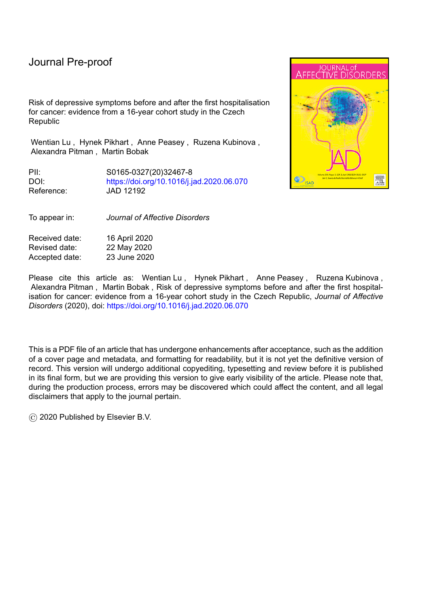